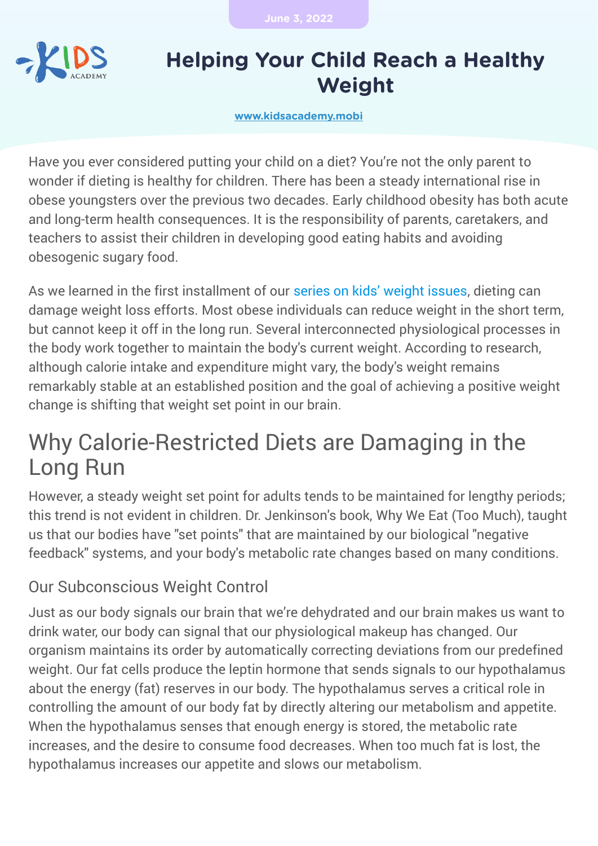**June 3, 2022**



## **Helping Your Child Reach a Healthy Weight**

**[www.kidsacademy.mobi](https://www.kidsacademy.mobi/)**

Have you ever considered putting your child on a diet? You're not the only parent to wonder if dieting is healthy for children. There has been a steady international rise in obese youngsters over the previous two decades. Early childhood obesity has both acute and long-term health consequences. It is the responsibility of parents, caretakers, and teachers to assist their children in developing good eating habits and avoiding obesogenic sugary food.

As we learned in the first installment of our [series on kids' weight issues,](https://www.kidsacademy.mobi/storytime/causes-of-children-weight-problems/) dieting can damage weight loss efforts. Most obese individuals can reduce weight in the short term, but cannot keep it off in the long run. Several interconnected physiological processes in the body work together to maintain the body's current weight. According to research, although calorie intake and expenditure might vary, the body's weight remains remarkably stable at an established position and the goal of achieving a positive weight change is shifting that weight set point in our brain.

# Why Calorie-Restricted Diets are Damaging in the Long Run

However, a steady weight set point for adults tends to be maintained for lengthy periods; this trend is not evident in children. Dr. Jenkinson's book, Why We Eat (Too Much), taught us that our bodies have "set points" that are maintained by our biological "negative feedback" systems, and your body's metabolic rate changes based on many conditions.

## Our Subconscious Weight Control

Just as our body signals our brain that we're dehydrated and our brain makes us want to drink water, our body can signal that our physiological makeup has changed. Our organism maintains its order by automatically correcting deviations from our predefined weight. Our fat cells produce the leptin hormone that sends signals to our hypothalamus about the energy (fat) reserves in our body. The hypothalamus serves a critical role in controlling the amount of our body fat by directly altering our metabolism and appetite. When the hypothalamus senses that enough energy is stored, the metabolic rate increases, and the desire to consume food decreases. When too much fat is lost, the hypothalamus increases our appetite and slows our metabolism.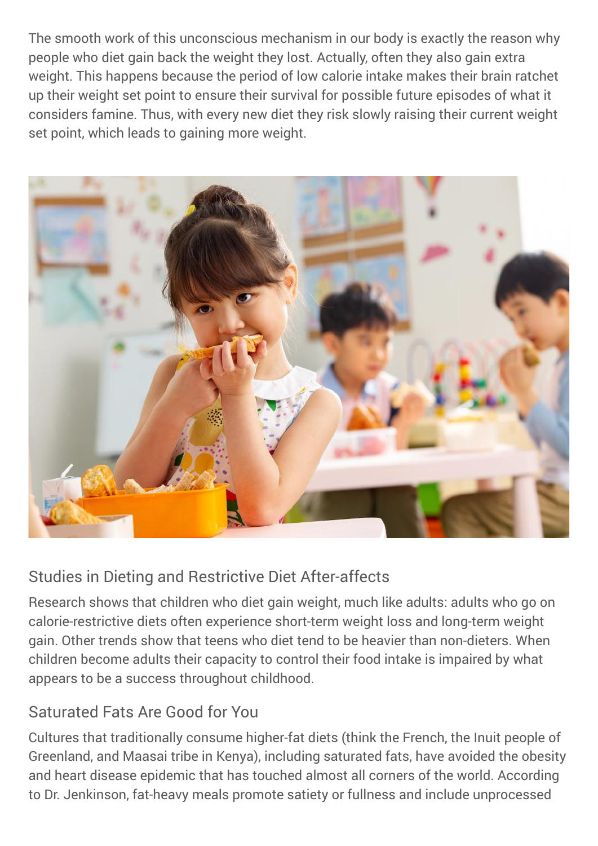The smooth work of this unconscious mechanism in our body is exactly the reason why people who diet gain back the weight they lost. Actually, often they also gain extra weight. This happens because the period of low calorie intake makes their brain ratchet up their weight set point to ensure their survival for possible future episodes of what it considers famine. Thus, with every new diet they risk slowly raising their current weight set point, which leads to gaining more weight.



#### Studies in Dieting and Restrictive Diet After-affects

Research shows that children who diet gain weight, much like adults: adults who go on calorie-restrictive diets often experience short-term weight loss and long-term weight gain. Other trends show that teens who diet tend to be heavier than non-dieters. When children become adults their capacity to control their food intake is impaired by what appears to be a success throughout childhood.

#### Saturated Fats Are Good for You

Cultures that traditionally consume higher-fat diets (think the French, the Inuit people of Greenland, and Maasai tribe in Kenya), including saturated fats, have avoided the obesity and heart disease epidemic that has touched almost all corners of the world. According to Dr. Jenkinson, fat-heavy meals promote satiety or fullness and include unprocessed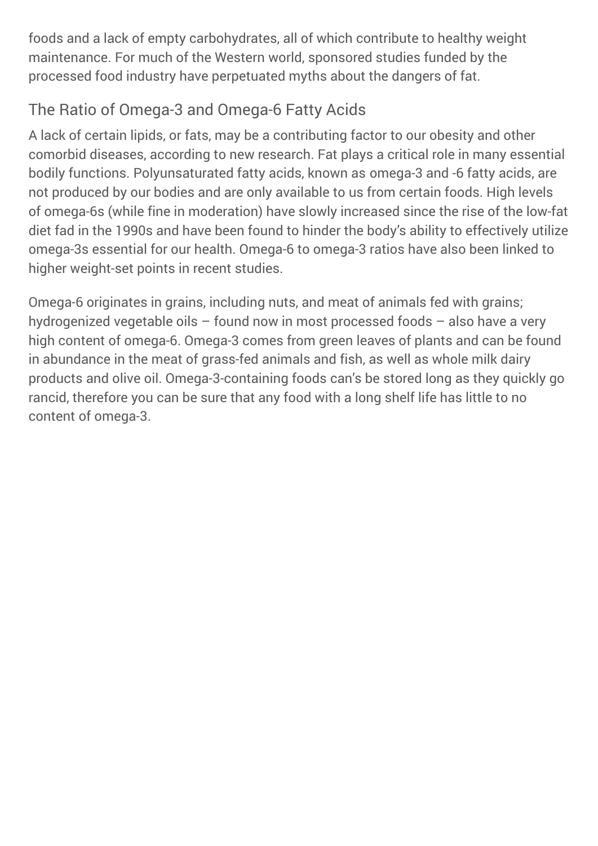foods and a lack of empty carbohydrates, all of which contribute to healthy weight maintenance. For much of the Western world, sponsored studies funded by the processed food industry have perpetuated myths about the dangers of fat.

## The Ratio of Omega-3 and Omega-6 Fatty Acids

A lack of certain lipids, or fats, may be a contributing factor to our obesity and other comorbid diseases, according to new research. Fat plays a critical role in many essential bodily functions. Polyunsaturated fatty acids, known as omega-3 and -6 fatty acids, are not produced by our bodies and are only available to us from certain foods. High levels of omega-6s (while fine in moderation) have slowly increased since the rise of the low-fat diet fad in the 1990s and have been found to hinder the body's ability to effectively utilize omega-3s essential for our health. Omega-6 to omega-3 ratios have also been linked to higher weight-set points in recent studies.

Omega-6 originates in grains, including nuts, and meat of animals fed with grains; hydrogenized vegetable oils – found now in most processed foods – also have a very high content of omega-6. Omega-3 comes from green leaves of plants and can be found in abundance in the meat of grass-fed animals and fish, as well as whole milk dairy products and olive oil. Omega-3-containing foods can's be stored long as they quickly go rancid, therefore you can be sure that any food with a long shelf life has little to no content of omega-3.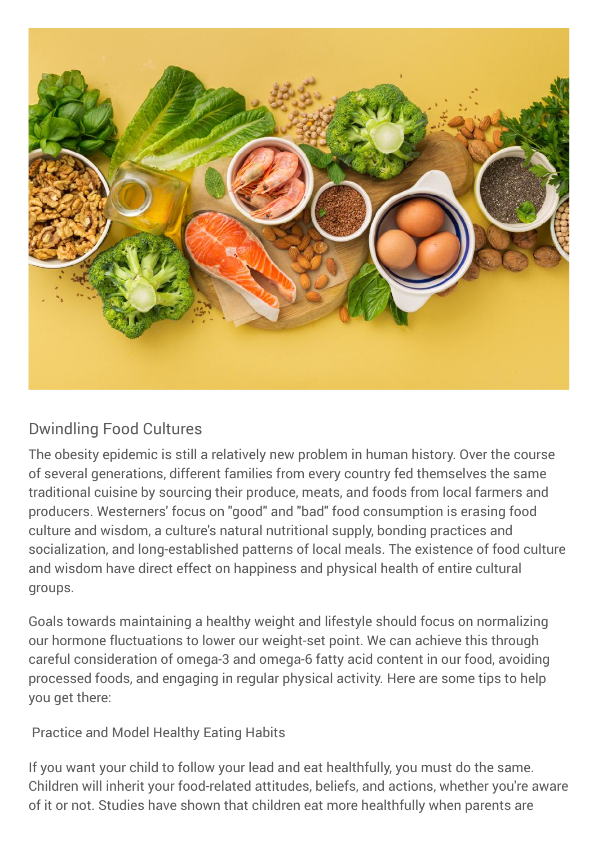

## Dwindling Food Cultures

The obesity epidemic is still a relatively new problem in human history. Over the course of several generations, different families from every country fed themselves the same traditional cuisine by sourcing their produce, meats, and foods from local farmers and producers. Westerners' focus on "good" and "bad" food consumption is erasing food culture and wisdom, a culture's natural nutritional supply, bonding practices and socialization, and long-established patterns of local meals. The existence of food culture and wisdom have direct effect on happiness and physical health of entire cultural groups.

Goals towards maintaining a healthy weight and lifestyle should focus on normalizing our hormone fluctuations to lower our weight-set point. We can achieve this through careful consideration of omega-3 and omega-6 fatty acid content in our food, avoiding processed foods, and engaging in regular physical activity. Here are some tips to help you get there:

Practice and Model Healthy Eating Habits

If you want your child to follow your lead and eat healthfully, you must do the same. Children will inherit your food-related attitudes, beliefs, and actions, whether you're aware of it or not. Studies have shown that children eat more healthfully when parents are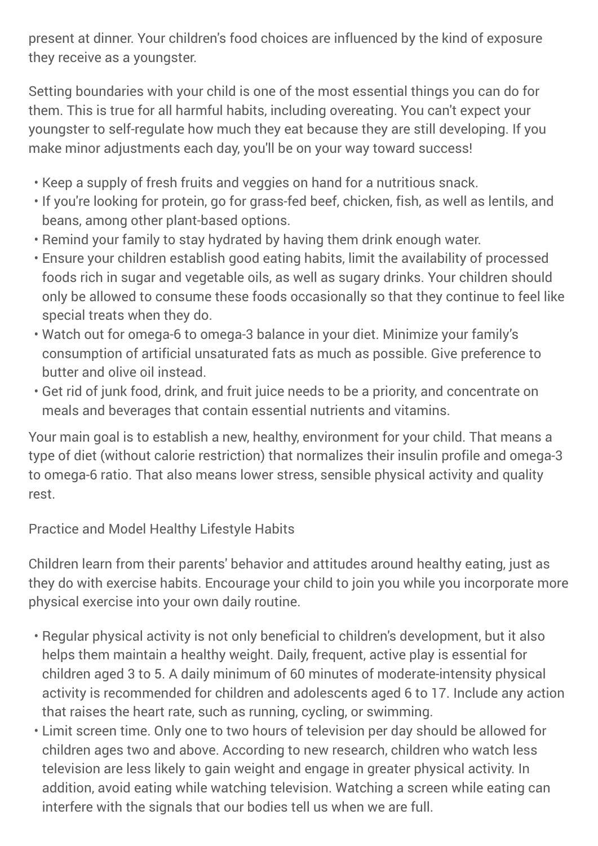present at dinner. Your children's food choices are influenced by the kind of exposure they receive as a youngster.

Setting boundaries with your child is one of the most essential things you can do for them. This is true for all harmful habits, including overeating. You can't expect your youngster to self-regulate how much they eat because they are still developing. If you make minor adjustments each day, you'll be on your way toward success!

- $\cdot$  Keep a supply of fresh fruits and veggies on hand for a nutritious snack.
- If you're looking for protein, go for grass-fed beef, chicken, fish, as well as lentils, and beans, among other plant-based options.
- Remind your family to stay hydrated by having them drink enough water.
- Ensure your children establish good eating habits, limit the availability of processed foods rich in sugar and vegetable oils, as well as sugary drinks. Your children should only be allowed to consume these foods occasionally so that they continue to feel like special treats when they do.
- Watch out for omega-6 to omega-3 balance in your diet. Minimize your family's consumption of artificial unsaturated fats as much as possible. Give preference to butter and olive oil instead.
- Get rid of junk food, drink, and fruit juice needs to be a priority, and concentrate on meals and beverages that contain essential nutrients and vitamins.

Your main goal is to establish a new, healthy, environment for your child. That means a type of diet (without calorie restriction) that normalizes their insulin profile and omega-3 to omega-6 ratio. That also means lower stress, sensible physical activity and quality rest.

Practice and Model Healthy Lifestyle Habits

Children learn from their parents' behavior and attitudes around healthy eating, just as they do with exercise habits. Encourage your child to join you while you incorporate more physical exercise into your own daily routine.

- Regular physical activity is not only beneficial to children's development, but it also helps them maintain a healthy weight. Daily, frequent, active play is essential for children aged 3 to 5. A daily minimum of 60 minutes of moderate-intensity physical activity is recommended for children and adolescents aged 6 to 17. Include any action that raises the heart rate, such as running, cycling, or swimming.
- Limit screen time. Only one to two hours of television per day should be allowed for children ages two and above. According to new research, children who watch less television are less likely to gain weight and engage in greater physical activity. In addition, avoid eating while watching television. Watching a screen while eating can interfere with the signals that our bodies tell us when we are full.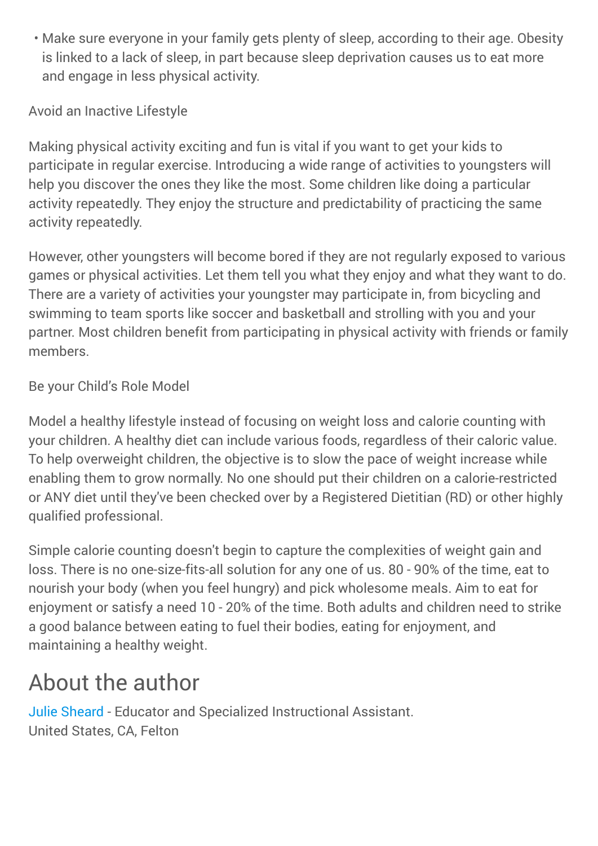Make sure everyone in your family gets plenty of sleep, according to their age. Obesity • is linked to a lack of sleep, in part because sleep deprivation causes us to eat more and engage in less physical activity.

Avoid an Inactive Lifestyle

Making physical activity exciting and fun is vital if you want to get your kids to participate in regular exercise. Introducing a wide range of activities to youngsters will help you discover the ones they like the most. Some children like doing a particular activity repeatedly. They enjoy the structure and predictability of practicing the same activity repeatedly.

However, other youngsters will become bored if they are not regularly exposed to various games or physical activities. Let them tell you what they enjoy and what they want to do. There are a variety of activities your youngster may participate in, from bicycling and swimming to team sports like soccer and basketball and strolling with you and your partner. Most children benefit from participating in physical activity with friends or family members.

Be your Child's Role Model

Model a healthy lifestyle instead of focusing on weight loss and calorie counting with your children. A healthy diet can include various foods, regardless of their caloric value. To help overweight children, the objective is to slow the pace of weight increase while enabling them to grow normally. No one should put their children on a calorie-restricted or ANY diet until they've been checked over by a Registered Dietitian (RD) or other highly qualified professional.

Simple calorie counting doesn't begin to capture the complexities of weight gain and loss. There is no one-size-fits-all solution for any one of us. 80 - 90% of the time, eat to nourish your body (when you feel hungry) and pick wholesome meals. Aim to eat for enjoyment or satisfy a need 10 - 20% of the time. Both adults and children need to strike a good balance between eating to fuel their bodies, eating for enjoyment, and maintaining a healthy weight.

# About the author

[Julie Sheard](https://www.kidsacademy.mobi/storytime-category/our-experts/julie-sheard/) - Educator and Specialized Instructional Assistant. United States, CA, Felton